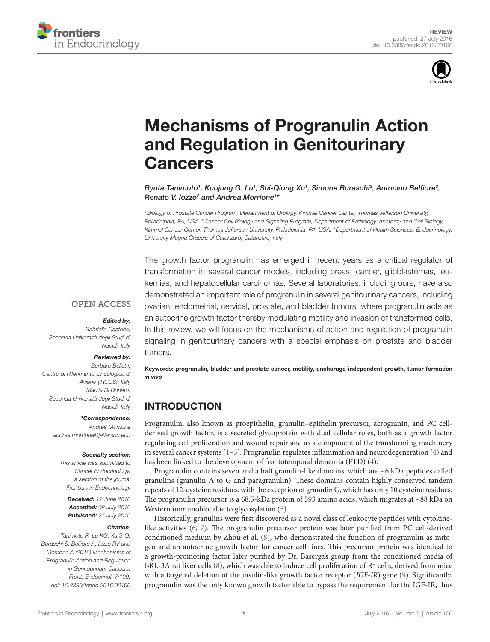



# [Mechanisms of Progranulin Action](http://www.frontiersin.org/Journal/10.3389/fendo.2016.00100/abstract)  [and Regulation in Genitourinary](http://www.frontiersin.org/Journal/10.3389/fendo.2016.00100/abstract)  [Cancers](http://www.frontiersin.org/Journal/10.3389/fendo.2016.00100/abstract)

*Ryuta Tanimoto1 , [Kuojung G. Lu1](http://loop.frontiersin.org/people/355069/overview) , [Shi-Qiong Xu1](http://loop.frontiersin.org/people/267746/overview) , [Simone Buraschi2](http://loop.frontiersin.org/people/257155/overview) , [Antonino Belfiore3](http://loop.frontiersin.org/people/20871/overview) , Renato V. Iozzo2 and [Andrea Morrione](http://loop.frontiersin.org/people/23208/overview)1 \**

*1Biology of Prostate Cancer Program, Department of Urology, Kimmel Cancer Center, Thomas Jefferson University, Philadelphia, PA, USA, 2Cancer Cell Biology and Signaling Program, Department of Pathology, Anatomy and Cell Biology, Kimmel Cancer Center, Thomas Jefferson University, Philadelphia, PA, USA, 3Department of Health Sciences, Endocrinology, University Magna Graecia of Catanzaro, Catanzaro, Italy*

The growth factor progranulin has emerged in recent years as a critical regulator of transformation in several cancer models, including breast cancer, glioblastomas, leukemias, and hepatocellular carcinomas. Several laboratories, including ours, have also demonstrated an important role of progranulin in several genitourinary cancers, including ovarian, endometrial, cervical, prostate, and bladder tumors, where progranulin acts as an autocrine growth factor thereby modulating motility and invasion of transformed cells. In this review, we will focus on the mechanisms of action and regulation of progranulin signaling in genitourinary cancers with a special emphasis on prostate and bladder tumors.

#### **OPEN ACCESS**

#### *Edited by:*

*Gabriella Castoria, Seconda Università degli Studi di Napoli, Italy*

#### *Reviewed by:*

*Barbara Belletti, Centro di Riferimento Oncologico di Aviano (IRCCS), Italy Marzia Di Donato, Seconda Università degli Studi di Napoli, Italy*

#### *\*Correspondence:*

*Andrea Morrione [andrea.morrione@jefferson.edu](mailto:andrea.morrione@jefferson.edu)*

#### *Specialty section:*

*This article was submitted to Cancer Endocrinology, a section of the journal Frontiers in Endocrinology*

*Received: 12 June 2016 Accepted: 08 July 2016 Published: 27 July 2016*

#### *Citation:*

*Tanimoto R, Lu KG, Xu S-Q, Buraschi S, Belfiore A, Iozzo RV and Morrione A (2016) Mechanisms of Progranulin Action and Regulation in Genitourinary Cancers. Front. Endocrinol. 7:100. doi: [10.3389/fendo.2016.00100](http://dx.doi.org/10.3389/fendo.2016.00100)*

Keywords: progranulin, bladder and prostate cancer, motility, anchorage-independent growth, tumor formation *in vivo*

#### INTRODUCTION

Progranulin, also known as proepithelin, granulin–epithelin precursor, acrogranin, and PC cellderived growth factor, is a secreted glycoprotein with dual cellular roles, both as a growth factor regulating cell proliferation and wound repair and as a component of the transforming machinery in several cancer systems [\(1–](#page-5-0)[3](#page-5-1)). Progranulin regulates inflammation and neurodegeneration [\(4\)](#page-5-2) and has been linked to the development of frontotemporal dementia (FTD) ([4](#page-5-2)).

Progranulin contains seven and a half granulin-like domains, which are  $\sim$ 6 kDa peptides called granulins (granulin A to G and paragranulin). These domains contain highly conserved tandem repeats of 12-cysteine residues, with the exception of granulin G, which has only 10 cysteine residues. The progranulin precursor is a 68.5-kDa protein of 593 amino acids, which migrates at ~88 kDa on Western immunoblot due to glycosylation [\(5\)](#page-5-3).

Historically, granulins were first discovered as a novel class of leukocyte peptides with cytokinelike activities [\(6,](#page-5-4) [7](#page-5-5)). The progranulin precursor protein was later purified from PC cell-derived conditioned medium by Zhou et al. [\(8\)](#page-5-6), who demonstrated the function of progranulin as mitogen and an autocrine growth factor for cancer cell lines. This precursor protein was identical to a growth-promoting factor later purified by Dr. Baserga's group from the conditioned media of BRL-3A rat liver cells ([8](#page-5-6)), which was able to induce cell proliferation of R<sup>−</sup> cells, derived from mice with a targeted deletion of the insulin-like growth factor receptor (*IGF-IR*) gene ([9](#page-5-7)). Significantly, progranulin was the only known growth factor able to bypass the requirement for the IGF-IR, thus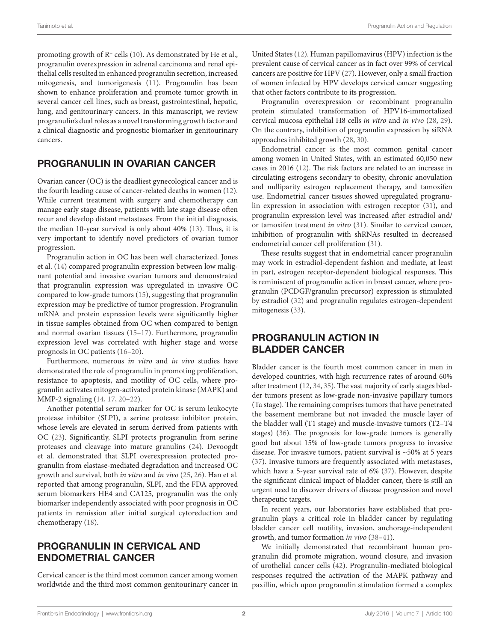promoting growth of R<sup>−</sup> cells ([10](#page-5-8)). As demonstrated by He et al., progranulin overexpression in adrenal carcinoma and renal epithelial cells resulted in enhanced progranulin secretion, increased mitogenesis, and tumorigenesis ([11\)](#page-5-9). Progranulin has been shown to enhance proliferation and promote tumor growth in several cancer cell lines, such as breast, gastrointestinal, hepatic, lung, and genitourinary cancers. In this manuscript, we review progranulin's dual roles as a novel transforming growth factor and a clinical diagnostic and prognostic biomarker in genitourinary cancers.

#### PROGRANULIN IN OVARIAN CANCER

Ovarian cancer (OC) is the deadliest gynecological cancer and is the fourth leading cause of cancer-related deaths in women ([12\)](#page-5-10). While current treatment with surgery and chemotherapy can manage early stage disease, patients with late stage disease often recur and develop distant metastases. From the initial diagnosis, the median 10-year survival is only about 40% [\(13](#page-5-11)). Thus, it is very important to identify novel predictors of ovarian tumor progression.

Progranulin action in OC has been well characterized. Jones et al. ([14](#page-5-12)) compared progranulin expression between low malignant potential and invasive ovarian tumors and demonstrated that progranulin expression was upregulated in invasive OC compared to low-grade tumors [\(15](#page-5-13)), suggesting that progranulin expression may be predictive of tumor progression. Progranulin mRNA and protein expression levels were significantly higher in tissue samples obtained from OC when compared to benign and normal ovarian tissues [\(15](#page-5-13)[–17\)](#page-5-14). Furthermore, progranulin expression level was correlated with higher stage and worse prognosis in OC patients ([16–](#page-5-15)[20\)](#page-5-16).

Furthermore, numerous *in vitro* and *in vivo* studies have demonstrated the role of progranulin in promoting proliferation, resistance to apoptosis, and motility of OC cells, where progranulin activates mitogen-activated protein kinase (MAPK) and MMP-2 signaling [\(14](#page-5-12), [17,](#page-5-14) [20](#page-5-16)[–22](#page-5-17)).

Another potential serum marker for OC is serum leukocyte protease inhibitor (SLPI), a serine protease inhibitor protein, whose levels are elevated in serum derived from patients with OC [\(23](#page-5-18)). Significantly, SLPI protects progranulin from serine proteases and cleavage into mature granulins ([24\)](#page-5-19). Devoogdt et al. demonstrated that SLPI overexpression protected progranulin from elastase-mediated degradation and increased OC growth and survival, both *in vitro* and *in vivo* [\(25,](#page-5-20) [26](#page-5-21)). Han et al. reported that among progranulin, SLPI, and the FDA approved serum biomarkers HE4 and CA125, progranulin was the only biomarker independently associated with poor prognosis in OC patients in remission after initial surgical cytoreduction and chemotherapy [\(18](#page-5-22)).

#### PROGRANULIN IN CERVICAL AND ENDOMETRIAL CANCER

Cervical cancer is the third most common cancer among women worldwide and the third most common genitourinary cancer in

United States ([12\)](#page-5-10). Human papillomavirus (HPV) infection is the prevalent cause of cervical cancer as in fact over 99% of cervical cancers are positive for HPV ([27\)](#page-5-23). However, only a small fraction of women infected by HPV develops cervical cancer suggesting that other factors contribute to its progression.

Progranulin overexpression or recombinant progranulin protein stimulated transformation of HPV16-immortalized cervical mucosa epithelial H8 cells *in vitro* and *in vivo* [\(28](#page-5-24), [29](#page-5-25)). On the contrary, inhibition of progranulin expression by siRNA approaches inhibited growth [\(28](#page-5-24), [30\)](#page-5-26).

Endometrial cancer is the most common genital cancer among women in United States, with an estimated 60,050 new cases in 2016 [\(12](#page-5-10)). The risk factors are related to an increase in circulating estrogens secondary to obesity, chronic anovulation and nulliparity estrogen replacement therapy, and tamoxifen use. Endometrial cancer tissues showed upregulated progranulin expression in association with estrogen receptor [\(31](#page-5-27)), and progranulin expression level was increased after estradiol and/ or tamoxifen treatment *in vitro* ([31\)](#page-5-27). Similar to cervical cancer, inhibition of progranulin with shRNAs resulted in decreased endometrial cancer cell proliferation ([31](#page-5-27)).

These results suggest that in endometrial cancer progranulin may work in estradiol-dependent fashion and mediate, at least in part, estrogen receptor-dependent biological responses. This is reminiscent of progranulin action in breast cancer, where progranulin (PCDGF/granulin precursor) expression is stimulated by estradiol ([32](#page-5-28)) and progranulin regulates estrogen-dependent mitogenesis ([33\)](#page-5-29).

### PROGRANULIN ACTION IN BLADDER CANCER

Bladder cancer is the fourth most common cancer in men in developed countries, with high recurrence rates of around 60% after treatment [\(12](#page-5-10), [34](#page-5-30), [35](#page-5-31)). The vast majority of early stages bladder tumors present as low-grade non-invasive papillary tumors (Ta stage). The remaining comprises tumors that have penetrated the basement membrane but not invaded the muscle layer of the bladder wall (T1 stage) and muscle-invasive tumors (T2–T4 stages) [\(36](#page-5-32)). The prognosis for low-grade tumors is generally good but about 15% of low-grade tumors progress to invasive disease. For invasive tumors, patient survival is ~50% at 5 years [\(37\)](#page-5-33). Invasive tumors are frequently associated with metastases, which have a 5-year survival rate of 6% ([37\)](#page-5-33). However, despite the significant clinical impact of bladder cancer, there is still an urgent need to discover drivers of disease progression and novel therapeutic targets.

In recent years, our laboratories have established that progranulin plays a critical role in bladder cancer by regulating bladder cancer cell motility, invasion, anchorage-independent growth, and tumor formation *in vivo* ([38](#page-5-34)[–41](#page-5-35)).

We initially demonstrated that recombinant human progranulin did promote migration, wound closure, and invasion of urothelial cancer cells [\(42\)](#page-5-36). Progranulin-mediated biological responses required the activation of the MAPK pathway and paxillin, which upon progranulin stimulation formed a complex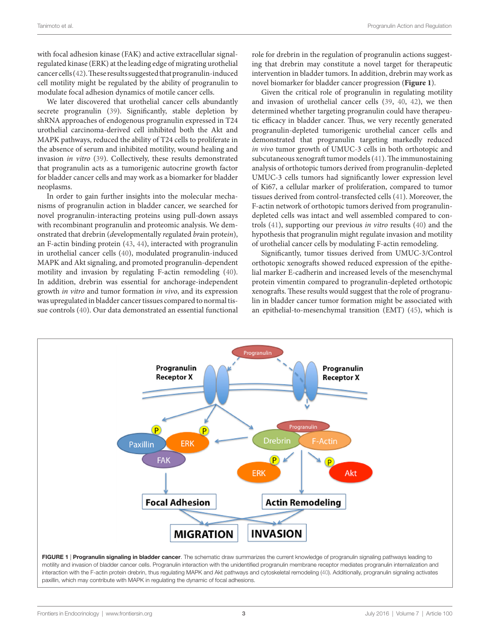with focal adhesion kinase (FAK) and active extracellular signalregulated kinase (ERK) at the leading edge of migrating urothelial cancer cells ([42\)](#page-5-36). These results suggested that progranulin-induced cell motility might be regulated by the ability of progranulin to modulate focal adhesion dynamics of motile cancer cells.

We later discovered that urothelial cancer cells abundantly secrete progranulin [\(39](#page-5-38)). Significantly, stable depletion by shRNA approaches of endogenous progranulin expressed in T24 urothelial carcinoma-derived cell inhibited both the Akt and MAPK pathways, reduced the ability of T24 cells to proliferate in the absence of serum and inhibited motility, wound healing and invasion *in vitro* ([39\)](#page-5-38). Collectively, these results demonstrated that progranulin acts as a tumorigenic autocrine growth factor for bladder cancer cells and may work as a biomarker for bladder neoplasms.

In order to gain further insights into the molecular mechanisms of progranulin action in bladder cancer, we searched for novel progranulin-interacting proteins using pull-down assays with recombinant progranulin and proteomic analysis. We demonstrated that drebrin (*d*evelopmentally *re*gulated *br*ain prote*in*), an F-actin binding protein [\(43,](#page-6-0) [44](#page-6-1)), interacted with progranulin in urothelial cancer cells [\(40\)](#page-5-37), modulated progranulin-induced MAPK and Akt signaling, and promoted progranulin-dependent motility and invasion by regulating F-actin remodeling ([40\)](#page-5-37). In addition, drebrin was essential for anchorage-independent growth *in vitro* and tumor formation *in vivo*, and its expression was upregulated in bladder cancer tissues compared to normal tissue controls [\(40](#page-5-37)). Our data demonstrated an essential functional role for drebrin in the regulation of progranulin actions suggesting that drebrin may constitute a novel target for therapeutic intervention in bladder tumors. In addition, drebrin may work as novel biomarker for bladder cancer progression (**[Figure 1](#page-2-0)**).

Given the critical role of progranulin in regulating motility and invasion of urothelial cancer cells ([39,](#page-5-38) [40](#page-5-37), [42](#page-5-36)), we then determined whether targeting progranulin could have therapeutic efficacy in bladder cancer. Thus, we very recently generated progranulin-depleted tumorigenic urothelial cancer cells and demonstrated that progranulin targeting markedly reduced *in vivo* tumor growth of UMUC-3 cells in both orthotopic and subcutaneous xenograft tumor models ([41\)](#page-5-35). The immunostaining analysis of orthotopic tumors derived from progranulin-depleted UMUC-3 cells tumors had significantly lower expression level of Ki67, a cellular marker of proliferation, compared to tumor tissues derived from control-transfected cells ([41\)](#page-5-35). Moreover, the F-actin network of orthotopic tumors derived from progranulindepleted cells was intact and well assembled compared to controls [\(41\)](#page-5-35), supporting our previous *in vitro* results [\(40](#page-5-37)) and the hypothesis that progranulin might regulate invasion and motility of urothelial cancer cells by modulating F-actin remodeling.

Significantly, tumor tissues derived from UMUC-3/Control orthotopic xenografts showed reduced expression of the epithelial marker E-cadherin and increased levels of the mesenchymal protein vimentin compared to progranulin-depleted orthotopic xenografts. These results would suggest that the role of progranulin in bladder cancer tumor formation might be associated with an epithelial-to-mesenchymal transition (EMT) ([45\)](#page-6-2), which is



<span id="page-2-0"></span>motility and invasion of bladder cancer cells. Progranulin interaction with the unidentified progranulin membrane receptor mediates progranulin internalization and interaction with the F-actin protein drebrin, thus regulating MAPK and Akt pathways and cytoskeletal remodeling [\(40\)](#page-5-37). Additionally, progranulin signaling activates paxillin, which may contribute with MAPK in regulating the dynamic of focal adhesions.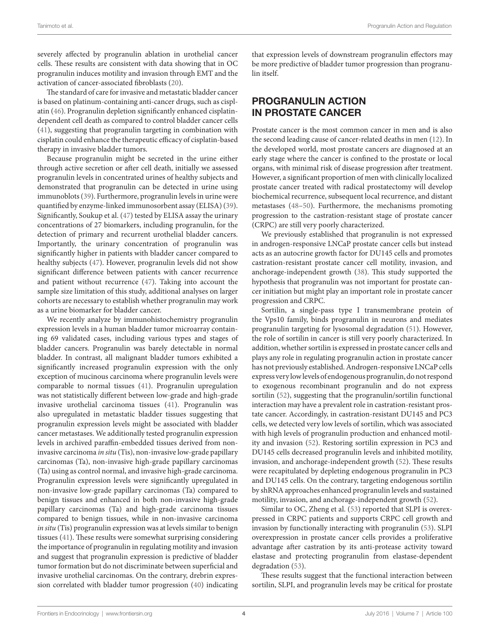severely affected by progranulin ablation in urothelial cancer cells. These results are consistent with data showing that in OC progranulin induces motility and invasion through EMT and the activation of cancer-associated fibroblasts [\(20](#page-5-16)).

The standard of care for invasive and metastatic bladder cancer is based on platinum-containing anti-cancer drugs, such as cisplatin [\(46](#page-6-3)). Progranulin depletion significantly enhanced cisplatindependent cell death as compared to control bladder cancer cells ([41\)](#page-5-35), suggesting that progranulin targeting in combination with cisplatin could enhance the therapeutic efficacy of cisplatin-based therapy in invasive bladder tumors.

Because progranulin might be secreted in the urine either through active secretion or after cell death, initially we assessed progranulin levels in concentrated urines of healthy subjects and demonstrated that progranulin can be detected in urine using immunoblots [\(39\)](#page-5-38). Furthermore, progranulin levels in urine were quantified by enzyme-linked immunosorbent assay (ELISA) ([39\)](#page-5-38). Significantly, Soukup et al. [\(47](#page-6-4)) tested by ELISA assay the urinary concentrations of 27 biomarkers, including progranulin, for the detection of primary and recurrent urothelial bladder cancers. Importantly, the urinary concentration of progranulin was significantly higher in patients with bladder cancer compared to healthy subjects ([47](#page-6-4)). However, progranulin levels did not show significant difference between patients with cancer recurrence and patient without recurrence ([47\)](#page-6-4). Taking into account the sample size limitation of this study, additional analyses on larger cohorts are necessary to establish whether progranulin may work as a urine biomarker for bladder cancer.

We recently analyze by immunohistochemistry progranulin expression levels in a human bladder tumor microarray containing 69 validated cases, including various types and stages of bladder cancers. Progranulin was barely detectable in normal bladder. In contrast, all malignant bladder tumors exhibited a significantly increased progranulin expression with the only exception of mucinous carcinoma where progranulin levels were comparable to normal tissues [\(41](#page-5-35)). Progranulin upregulation was not statistically different between low-grade and high-grade invasive urothelial carcinoma tissues [\(41](#page-5-35)). Progranulin was also upregulated in metastatic bladder tissues suggesting that progranulin expression levels might be associated with bladder cancer metastases. We additionally tested progranulin expression levels in archived paraffin-embedded tissues derived from noninvasive carcinoma *in situ* (Tis), non-invasive low-grade papillary carcinomas (Ta), non-invasive high-grade papillary carcinomas (Ta) using as control normal, and invasive high-grade carcinoma. Progranulin expression levels were significantly upregulated in non-invasive low-grade papillary carcinomas (Ta) compared to benign tissues and enhanced in both non-invasive high-grade papillary carcinomas (Ta) and high-grade carcinoma tissues compared to benign tissues, while in non-invasive carcinoma *in situ* (Tis) progranulin expression was at levels similar to benign tissues ([41\)](#page-5-35). These results were somewhat surprising considering the importance of progranulin in regulating motility and invasion and suggest that progranulin expression is predictive of bladder tumor formation but do not discriminate between superficial and invasive urothelial carcinomas. On the contrary, drebrin expression correlated with bladder tumor progression [\(40](#page-5-37)) indicating

that expression levels of downstream progranulin effectors may be more predictive of bladder tumor progression than progranulin itself.

# PROGRANULIN ACTION IN PROSTATE CANCER

Prostate cancer is the most common cancer in men and is also the second leading cause of cancer-related deaths in men [\(12](#page-5-10)). In the developed world, most prostate cancers are diagnosed at an early stage where the cancer is confined to the prostate or local organs, with minimal risk of disease progression after treatment. However, a significant proportion of men with clinically localized prostate cancer treated with radical prostatectomy will develop biochemical recurrence, subsequent local recurrence, and distant metastases ([48](#page-6-5)[–50](#page-6-6)). Furthermore, the mechanisms promoting progression to the castration-resistant stage of prostate cancer (CRPC) are still very poorly characterized.

We previously established that progranulin is not expressed in androgen-responsive LNCaP prostate cancer cells but instead acts as an autocrine growth factor for DU145 cells and promotes castration-resistant prostate cancer cell motility, invasion, and anchorage-independent growth ([38](#page-5-34)). This study supported the hypothesis that progranulin was not important for prostate cancer initiation but might play an important role in prostate cancer progression and CRPC.

Sortilin, a single-pass type I transmembrane protein of the Vps10 family, binds progranulin in neurons and mediates progranulin targeting for lysosomal degradation ([51\)](#page-6-7). However, the role of sortilin in cancer is still very poorly characterized. In addition, whether sortilin is expressed in prostate cancer cells and plays any role in regulating progranulin action in prostate cancer has not previously established. Androgen-responsive LNCaP cells express very low levels of endogenous progranulin, do not respond to exogenous recombinant progranulin and do not express sortilin ([52\)](#page-6-8), suggesting that the progranulin/sortilin functional interaction may have a prevalent role in castration-resistant prostate cancer. Accordingly, in castration-resistant DU145 and PC3 cells, we detected very low levels of sortilin, which was associated with high levels of progranulin production and enhanced motility and invasion [\(52\)](#page-6-8). Restoring sortilin expression in PC3 and DU145 cells decreased progranulin levels and inhibited motility, invasion, and anchorage-independent growth [\(52\)](#page-6-8). These results were recapitulated by depleting endogenous progranulin in PC3 and DU145 cells. On the contrary, targeting endogenous sortilin by shRNA approaches enhanced progranulin levels and sustained motility, invasion, and anchorage-independent growth ([52\)](#page-6-8).

Similar to OC, Zheng et al. ([53\)](#page-6-9) reported that SLPI is overexpressed in CRPC patients and supports CRPC cell growth and invasion by functionally interacting with progranulin ([53\)](#page-6-9). SLPI overexpression in prostate cancer cells provides a proliferative advantage after castration by its anti-protease activity toward elastase and protecting progranulin from elastase-dependent degradation [\(53](#page-6-9)).

These results suggest that the functional interaction between sortilin, SLPI, and progranulin levels may be critical for prostate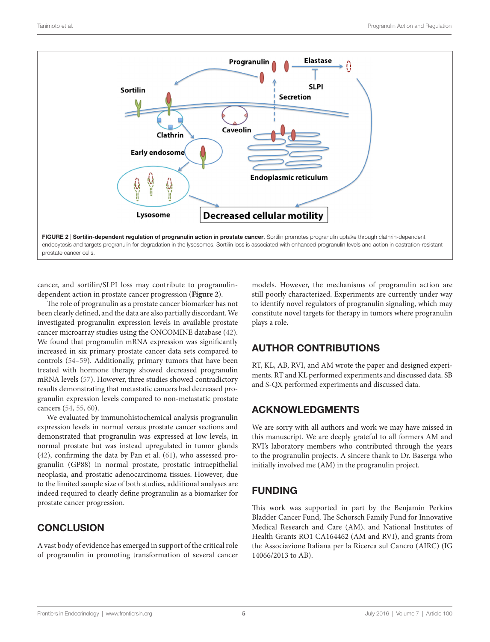

cancer, and sortilin/SLPI loss may contribute to progranulindependent action in prostate cancer progression (**[Figure 2](#page-4-0)**).

The role of progranulin as a prostate cancer biomarker has not been clearly defined, and the data are also partially discordant. We investigated progranulin expression levels in available prostate cancer microarray studies using the ONCOMINE database ([42\)](#page-5-36). We found that progranulin mRNA expression was significantly increased in six primary prostate cancer data sets compared to controls ([54–](#page-6-10)[59\)](#page-6-11). Additionally, primary tumors that have been treated with hormone therapy showed decreased progranulin mRNA levels ([57](#page-6-12)). However, three studies showed contradictory results demonstrating that metastatic cancers had decreased progranulin expression levels compared to non-metastatic prostate cancers [\(54](#page-6-10), [55,](#page-6-13) [60](#page-6-14)).

We evaluated by immunohistochemical analysis progranulin expression levels in normal versus prostate cancer sections and demonstrated that progranulin was expressed at low levels, in normal prostate but was instead upregulated in tumor glands ([42\)](#page-5-36), confirming the data by Pan et al. [\(61](#page-6-15)), who assessed progranulin (GP88) in normal prostate, prostatic intraepithelial neoplasia, and prostatic adenocarcinoma tissues. However, due to the limited sample size of both studies, additional analyses are indeed required to clearly define progranulin as a biomarker for prostate cancer progression.

### **CONCLUSION**

A vast body of evidence has emerged in support of the critical role of progranulin in promoting transformation of several cancer <span id="page-4-0"></span>models. However, the mechanisms of progranulin action are still poorly characterized. Experiments are currently under way to identify novel regulators of progranulin signaling, which may constitute novel targets for therapy in tumors where progranulin plays a role.

### AUTHOR CONTRIBUTIONS

RT, KL, AB, RVI, and AM wrote the paper and designed experiments. RT and KL performed experiments and discussed data. SB and S-QX performed experiments and discussed data.

### ACKNOWLEDGMENTS

We are sorry with all authors and work we may have missed in this manuscript. We are deeply grateful to all formers AM and RVI's laboratory members who contributed through the years to the progranulin projects. A sincere thank to Dr. Baserga who initially involved me (AM) in the progranulin project.

### FUNDING

This work was supported in part by the Benjamin Perkins Bladder Cancer Fund, The Schorsch Family Fund for Innovative Medical Research and Care (AM), and National Institutes of Health Grants RO1 CA164462 (AM and RVI), and grants from the Associazione Italiana per la Ricerca sul Cancro (AIRC) (IG 14066/2013 to AB).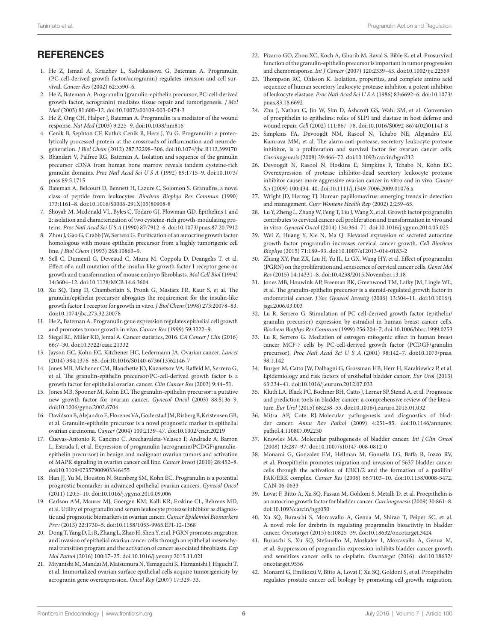# REFERENCES

- <span id="page-5-0"></span>1. He Z, Ismail A, Kriazhev L, Sadvakassova G, Bateman A. Progranulin (PC-cell-derived growth factor/acrogranin) regulates invasion and cell survival. *Cancer Res* (2002) 62:5590–6.
- 2. He Z, Bateman A. Progranulin (granulin-epithelin precursor, PC-cell-derived growth factor, acrogranin) mediates tissue repair and tumorigenesis. *J Mol Med* (2003) 81:600–12. doi[:10.1007/s00109-003-0474-3](http://dx.doi.org/10.1007/s00109-003-0474-3)
- <span id="page-5-1"></span>3. He Z, Ong CH, Halper J, Bateman A. Progranulin is a mediator of the wound response. *Nat Med* (2003) 9:225–9. doi[:10.1038/nm816](http://dx.doi.org/10.1038/nm816)
- <span id="page-5-2"></span>4. Cenik B, Sephton CF, Kutluk Cenik B, Herz J, Yu G. Progranulin: a proteolytically processed protein at the crossroads of inflammation and neurodegeneration. *J Biol Chem* (2012) 287:32298–306. doi:[10.1074/jbc.R112.399170](http://dx.doi.org/10.1074/jbc.R112.399170)
- <span id="page-5-3"></span>5. Bhandari V, Palfree RG, Bateman A. Isolation and sequence of the granulin precursor cDNA from human bone marrow reveals tandem cysteine-rich granulin domains. *Proc Natl Acad Sci U S A* (1992) 89:1715–9. doi[:10.1073/](http://dx.doi.org/10.1073/pnas.89.5.1715) [pnas.89.5.1715](http://dx.doi.org/10.1073/pnas.89.5.1715)
- <span id="page-5-4"></span>6. Bateman A, Belcourt D, Bennett H, Lazure C, Solomon S. Granulins, a novel class of peptide from leukocytes. *Biochem Biophys Res Commun* (1990) 173:1161–8. doi:[10.1016/S0006-291X\(05\)80908-8](http://dx.doi.org/10.1016/S0006-291X(05)80908-8)
- <span id="page-5-5"></span>7. Shoyab M, Mcdonald VL, Byles C, Todaro GJ, Plowman GD. Epithelins 1 and 2: isolation and characterization of two cysteine-rich growth-modulating proteins. *Proc Natl Acad Sci U S A* (1990) 87:7912–6. doi[:10.1073/pnas.87.20.7912](http://dx.doi.org/10.1073/pnas.87.20.7912)
- <span id="page-5-6"></span>8. Zhou J, Gao G, Crabb JW, Serrero G. Purification of an autocrine growth factor homologous with mouse epithelin precursor from a highly tumorigenic cell line. *J Biol Chem* (1993) 268:10863–9.
- <span id="page-5-7"></span>9. Sell C, Dumenil G, Deveaud C, Miura M, Coppola D, Deangelis T, et al. Effect of a null mutation of the insulin-like growth factor I receptor gene on growth and transformation of mouse embryo fibroblasts. *Mol Cell Biol* (1994) 14:3604–12. doi:[10.1128/MCB.14.6.3604](http://dx.doi.org/10.1128/MCB.14.6.3604)
- <span id="page-5-8"></span>10. Xu SQ, Tang D, Chamberlain S, Pronk G, Masiarz FR, Kaur S, et al. The granulin/epithelin precursor abrogates the requirement for the insulin-like growth factor 1 receptor for growth in vitro. *J Biol Chem* (1998) 273:20078–83. doi:[10.1074/jbc.273.32.20078](http://dx.doi.org/10.1074/jbc.273.32.20078)
- <span id="page-5-9"></span>11. He Z, Bateman A. Progranulin gene expression regulates epithelial cell growth and promotes tumor growth in vivo. *Cancer Res* (1999) 59:3222–9.
- <span id="page-5-10"></span>12. Siegel RL, Miller KD, Jemal A. Cancer statistics, 2016. *CA Cancer J Clin* (2016) 66:7–30. doi:[10.3322/caac.21332](http://dx.doi.org/10.3322/caac.21332)
- <span id="page-5-11"></span>13. Jayson GC, Kohn EC, Kitchener HC, Ledermann JA. Ovarian cancer. *Lancet* (2014) 384:1376–88. doi[:10.1016/S0140-6736\(13\)62146-7](http://dx.doi.org/10.1016/S0140-6736(13)62146-7)
- <span id="page-5-12"></span>14. Jones MB, Michener CM, Blanchette JO, Kuznetsov VA, Raffeld M, Serrero G, et al. The granulin-epithelin precursor/PC-cell-derived growth factor is a growth factor for epithelial ovarian cancer. *Clin Cancer Res* (2003) 9:44–51.
- <span id="page-5-13"></span>15. Jones MB, Spooner M, Kohn EC. The granulin-epithelin precursor: a putative new growth factor for ovarian cancer. *Gynecol Oncol* (2003) 88:S136–9. doi:[10.1006/gyno.2002.6704](http://dx.doi.org/10.1006/gyno.2002.6704)
- <span id="page-5-15"></span>16. Davidson B, Alejandro E, Florenes VA, Goderstad JM, Risberg B, Kristensen GB, et al. Granulin-epithelin precursor is a novel prognostic marker in epithelial ovarian carcinoma. *Cancer* (2004) 100:2139–47. doi[:10.1002/cncr.20219](http://dx.doi.org/10.1002/cncr.20219)
- <span id="page-5-14"></span>17. Cuevas-Antonio R, Cancino C, Arechavaleta-Velasco F, Andrade A, Barron L, Estrada I, et al. Expression of progranulin (acrogranin/PCDGF/granulinepithelin precursor) in benign and malignant ovarian tumors and activation of MAPK signaling in ovarian cancer cell line. *Cancer Invest* (2010) 28:452–8. doi:[10.3109/07357900903346455](http://dx.doi.org/10.3109/07357900903346455)
- <span id="page-5-22"></span>18. Han JJ, Yu M, Houston N, Steinberg SM, Kohn EC. Progranulin is a potential prognostic biomarker in advanced epithelial ovarian cancers. *Gynecol Oncol* (2011) 120:5–10. doi:[10.1016/j.ygyno.2010.09.006](http://dx.doi.org/10.1016/j.ygyno.2010.09.006)
- 19. Carlson AM, Maurer MJ, Goergen KM, Kalli KR, Erskine CL, Behrens MD, et al. Utility of progranulin and serum leukocyte protease inhibitor as diagnostic and prognostic biomarkers in ovarian cancer. *Cancer Epidemiol Biomarkers Prev* (2013) 22:1730–5. doi[:10.1158/1055-9965.EPI-12-1368](http://dx.doi.org/10.1158/1055-9965.EPI-12-1368)
- <span id="page-5-16"></span>20. Dong T, Yang D, Li R, Zhang L, Zhao H, Shen Y, et al. PGRN promotes migration and invasion of epithelial ovarian cancer cells through an epithelial mesenchymal transition program and the activation of cancer associated fibroblasts. *Exp Mol Pathol* (2016) 100:17–25. doi[:10.1016/j.yexmp.2015.11.021](http://dx.doi.org/10.1016/j.yexmp.2015.11.021)
- 21. Miyanishi M, Mandai M, Matsumura N, Yamaguchi K, Hamanishi J, Higuchi T, et al. Immortalized ovarian surface epithelial cells acquire tumorigenicity by acrogranin gene overexpression. *Oncol Rep* (2007) 17:329–33.
- <span id="page-5-17"></span>22. Pizarro GO, Zhou XC, Koch A, Gharib M, Raval S, Bible K, et al. Prosurvival function of the granulin-epithelin precursor is important in tumor progression and chemoresponse. *Int J Cancer* (2007) 120:2339–43. doi:[10.1002/ijc.22559](http://dx.doi.org/10.1002/ijc.22559)
- <span id="page-5-18"></span>23. Thompson RC, Ohlsson K. Isolation, properties, and complete amino acid sequence of human secretory leukocyte protease inhibitor, a potent inhibitor of leukocyte elastase. *Proc Natl Acad Sci U S A* (1986) 83:6692–6. doi[:10.1073/](http://dx.doi.org/10.1073/pnas.83.18.6692) [pnas.83.18.6692](http://dx.doi.org/10.1073/pnas.83.18.6692)
- <span id="page-5-19"></span>24. Zhu J, Nathan C, Jin W, Sim D, Ashcroft GS, Wahl SM, et al. Conversion of proepithelin to epithelins: roles of SLPI and elastase in host defense and wound repair. *Cell* (2002) 111:867–78. doi[:10.1016/S0092-8674\(02\)01141-8](http://dx.doi.org/10.1016/S0092-8674(02)01141-8)
- <span id="page-5-20"></span>25. Simpkins FA, Devoogdt NM, Rasool N, Tchabo NE, Alejandro EU, Kamrava MM, et al. The alarm anti-protease, secretory leukocyte protease inhibitor, is a proliferation and survival factor for ovarian cancer cells. *Carcinogenesis* (2008) 29:466–72. doi[:10.1093/carcin/bgm212](http://dx.doi.org/10.1093/carcin/bgm212)
- <span id="page-5-21"></span>26. Devoogdt N, Rasool N, Hoskins E, Simpkins F, Tchabo N, Kohn EC. Overexpression of protease inhibitor-dead secretory leukocyte protease inhibitor causes more aggressive ovarian cancer in vitro and in vivo. *Cancer Sci* (2009) 100:434–40. doi:[10.1111/j.1349-7006.2009.01076.x](http://dx.doi.org/10.1111/j.1349-7006.2009.01076.x)
- <span id="page-5-23"></span>27. Wright JD, Herzog TJ. Human papillomavirus: emerging trends in detection and management. *Curr Womens Health Rep* (2002) 2:259–65.
- <span id="page-5-24"></span>28. Lu Y, Zheng L, Zhang W, Feng T, Liu J, Wang X, et al. Growth factor progranulin contributes to cervical cancer cell proliferation and transformation in vivo and in vitro. *Gynecol Oncol* (2014) 134:364–71. doi[:10.1016/j.ygyno.2014.05.025](http://dx.doi.org/10.1016/j.ygyno.2014.05.025)
- <span id="page-5-25"></span>29. Wei Z, Huang Y, Xie N, Ma Q. Elevated expression of secreted autocrine growth factor progranulin increases cervical cancer growth. *Cell Biochem Biophys* (2015) 71:189–93. doi:[10.1007/s12013-014-0183-2](http://dx.doi.org/10.1007/s12013-014-0183-2)
- <span id="page-5-26"></span>30. Zhang XY, Pan ZX, Liu H, Yu JL, Li GX, Wang HY, et al. Effect of progranulin (PGRN) on the proliferation and senescence of cervical cancer cells. *Genet Mol Res* (2015) 14:14331–8. doi[:10.4238/2015.November.13.18](http://dx.doi.org/10.4238/2015.November.13.18)
- <span id="page-5-27"></span>31. Jones MB, Houwink AP, Freeman BK, Greenwood TM, Lafky JM, Lingle WL, et al. The granulin-epithelin precursor is a steroid-regulated growth factor in endometrial cancer. *J Soc Gynecol Investig* (2006) 13:304–11. doi:[10.1016/j.](http://dx.doi.org/10.1016/j.jsgi.2006.03.003) [jsgi.2006.03.003](http://dx.doi.org/10.1016/j.jsgi.2006.03.003)
- <span id="page-5-28"></span>32. Lu R, Serrero G. Stimulation of PC cell-derived growth factor (epithelin/ granulin precursor) expression by estradiol in human breast cancer cells. *Biochem Biophys Res Commun* (1999) 256:204–7. doi:[10.1006/bbrc.1999.0253](http://dx.doi.org/10.1006/bbrc.1999.0253)
- <span id="page-5-29"></span>33. Lu R, Serrero G. Mediation of estrogen mitogenic effect in human breast cancer MCF-7 cells by PC-cell-derived growth factor (PCDGF/granulin precursor). *Proc Natl Acad Sci U S A* (2001) 98:142–7. doi[:10.1073/pnas.](http://dx.doi.org/10.1073/pnas.98.1.142) [98.1.142](http://dx.doi.org/10.1073/pnas.98.1.142)
- <span id="page-5-30"></span>34. Burger M, Catto JW, Dalbagni G, Grossman HB, Herr H, Karakiewicz P, et al. Epidemiology and risk factors of urothelial bladder cancer. *Eur Urol* (2013) 63:234–41. doi:[10.1016/j.eururo.2012.07.033](http://dx.doi.org/10.1016/j.eururo.2012.07.033)
- <span id="page-5-31"></span>35. Kluth LA, Black PC, Bochner BH, Catto J, Lerner SP, Stenzl A, et al. Prognostic and prediction tools in bladder cancer: a comprehensive review of the literature. *Eur Urol* (2015) 68:238–53. doi:[10.1016/j.eururo.2015.01.032](http://dx.doi.org/10.1016/j.eururo.2015.01.032)
- <span id="page-5-32"></span>36. Mitra AP, Cote RJ. Molecular pathogenesis and diagnostics of bladder cancer. *Annu Rev Pathol* (2009) 4:251–85. doi[:10.1146/annurev.](http://dx.doi.org/10.1146/annurev.pathol.4.110807.092230) [pathol.4.110807.092230](http://dx.doi.org/10.1146/annurev.pathol.4.110807.092230)
- <span id="page-5-33"></span>37. Knowles MA. Molecular pathogenesis of bladder cancer. *Int J Clin Oncol* (2008) 13:287–97. doi[:10.1007/s10147-008-0812-0](http://dx.doi.org/10.1007/s10147-008-0812-0)
- <span id="page-5-34"></span>38. Monami G, Gonzalez EM, Hellman M, Gomella LG, Baffa R, Iozzo RV, et al. Proepithelin promotes migration and invasion of 5637 bladder cancer cells through the activation of ERK1/2 and the formation of a paxillin/ FAK/ERK complex. *Cancer Res* (2006) 66:7103–10. doi:[10.1158/0008-5472.](http://dx.doi.org/10.1158/0008-5472.CAN-06-0633) [CAN-06-0633](http://dx.doi.org/10.1158/0008-5472.CAN-06-0633)
- <span id="page-5-38"></span>39. Lovat F, Bitto A, Xu SQ, Fassan M, Goldoni S, Metalli D, et al. Proepithelin is an autocrine growth factor for bladder cancer. *Carcinogenesis* (2009) 30:861–8. doi:[10.1093/carcin/bgp050](http://dx.doi.org/10.1093/carcin/bgp050)
- <span id="page-5-37"></span>40. Xu SQ, Buraschi S, Morcavallo A, Genua M, Shirao T, Peiper SC, et al. A novel role for drebrin in regulating progranulin bioactivity in bladder cancer. *Oncotarget* (2015) 6:10825–39. doi[:10.18632/oncotarget.3424](http://dx.doi.org/10.18632/oncotarget.3424)
- <span id="page-5-35"></span>41. Buraschi S, Xu SQ, Stefanello M, Moskalev I, Morcavallo A, Genua M, et al. Suppression of progranulin expression inhibits bladder cancer growth and sensitizes cancer cells to cisplatin. *Oncotarget* (2016). doi:[10.18632/](http://dx.doi.org/10.18632/oncotarget.9556) [oncotarget.9556](http://dx.doi.org/10.18632/oncotarget.9556)
- <span id="page-5-36"></span>42. Monami G, Emiliozzi V, Bitto A, Lovat F, Xu SQ, Goldoni S, et al. Proepithelin regulates prostate cancer cell biology by promoting cell growth, migration,